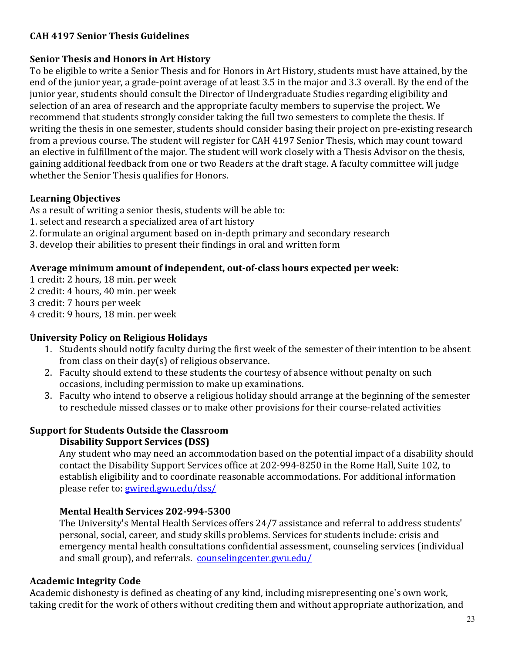# **CAH 4197 Senior Thesis Guidelines**

#### **Senior Thesis and Honors in Art History**

To be eligible to write a Senior Thesis and for Honors in Art History, students must have attained, by the end of the junior year, a grade-point average of at least 3.5 in the major and 3.3 overall. By the end of the junior year, students should consult the Director of Undergraduate Studies regarding eligibility and selection of an area of research and the appropriate faculty members to supervise the project. We recommend that students strongly consider taking the full two semesters to complete the thesis. If writing the thesis in one semester, students should consider basing their project on pre-existing research from a previous course. The student will register for CAH 4197 Senior Thesis, which may count toward an elective in fulfillment of the major. The student will work closely with a Thesis Advisor on the thesis, gaining additional feedback from one or two Readers at the draft stage. A faculty committee will judge whether the Senior Thesis qualifies for Honors.

# **Learning Objectives**

As a result of writing a senior thesis, students will be able to:

- 1. select and research a specialized area of art history
- 2. formulate an original argument based on in-depth primary and secondary research
- 3. develop their abilities to present their findings in oral and written form

# Average minimum amount of independent, out-of-class hours expected per week:

1 credit: 2 hours, 18 min. per week 2 credit: 4 hours, 40 min. per week 3 credit: 7 hours per week 4 credit: 9 hours, 18 min. per week

# **University Policy on Religious Holidays**

- 1. Students should notify faculty during the first week of the semester of their intention to be absent from class on their day(s) of religious observance.
- 2. Faculty should extend to these students the courtesy of absence without penalty on such occasions, including permission to make up examinations.
- 3. Faculty who intend to observe a religious holiday should arrange at the beginning of the semester to reschedule missed classes or to make other provisions for their course-related activities

# **Support for Students Outside the Classroom**

# **Disability Support Services (DSS)**

Any student who may need an accommodation based on the potential impact of a disability should contact the Disability Support Services office at 202-994-8250 in the Rome Hall, Suite 102, to establish eligibility and to coordinate reasonable accommodations. For additional information please refer to: gwired.gwu.edu/dss/

# **Mental Health Services 202-994-5300**

The University's Mental Health Services offers 24/7 assistance and referral to address students' personal, social, career, and study skills problems. Services for students include: crisis and emergency mental health consultations confidential assessment, counseling services (individual and small group), and referrals. counselingcenter.gwu.edu/

# **Academic Integrity Code**

Academic dishonesty is defined as cheating of any kind, including misrepresenting one's own work, taking credit for the work of others without crediting them and without appropriate authorization, and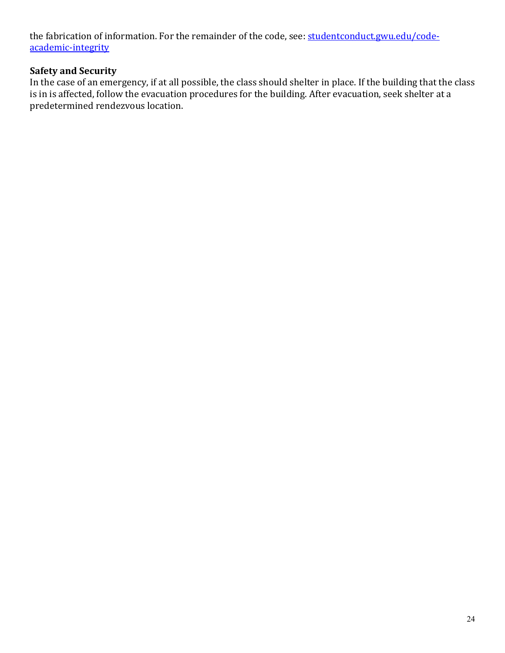the fabrication of information. For the remainder of the code, see: studentconduct.gwu.edu/codeacademic-integrity

# **Safety and Security**

In the case of an emergency, if at all possible, the class should shelter in place. If the building that the class is in is affected, follow the evacuation procedures for the building. After evacuation, seek shelter at a predetermined rendezvous location.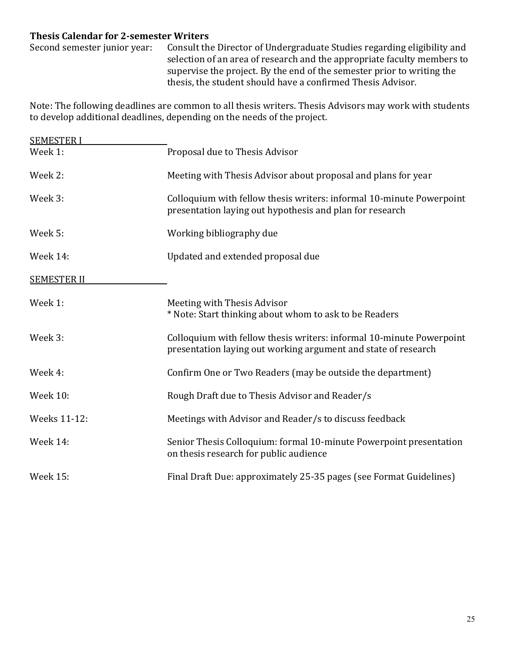# **Thesis Calendar for 2-semester Writers**

Second semester junior year: Consult the Director of Undergraduate Studies regarding eligibility and selection of an area of research and the appropriate faculty members to supervise the project. By the end of the semester prior to writing the thesis, the student should have a confirmed Thesis Advisor.

Note: The following deadlines are common to all thesis writers. Thesis Advisors may work with students to develop additional deadlines, depending on the needs of the project.

| <b>SEMESTER I</b>  |                                                                                                                                        |
|--------------------|----------------------------------------------------------------------------------------------------------------------------------------|
| Week 1:            | Proposal due to Thesis Advisor                                                                                                         |
| Week 2:            | Meeting with Thesis Advisor about proposal and plans for year                                                                          |
| Week 3:            | Colloquium with fellow thesis writers: informal 10-minute Powerpoint<br>presentation laying out hypothesis and plan for research       |
| Week 5:            | Working bibliography due                                                                                                               |
| Week 14:           | Updated and extended proposal due                                                                                                      |
| <b>SEMESTER II</b> |                                                                                                                                        |
| Week 1:            | Meeting with Thesis Advisor<br>* Note: Start thinking about whom to ask to be Readers                                                  |
| Week 3:            | Colloquium with fellow thesis writers: informal 10-minute Powerpoint<br>presentation laying out working argument and state of research |
| Week 4:            | Confirm One or Two Readers (may be outside the department)                                                                             |
| <b>Week 10:</b>    | Rough Draft due to Thesis Advisor and Reader/s                                                                                         |
| Weeks 11-12:       | Meetings with Advisor and Reader/s to discuss feedback                                                                                 |
| Week 14:           | Senior Thesis Colloquium: formal 10-minute Powerpoint presentation<br>on thesis research for public audience                           |
| <b>Week 15:</b>    | Final Draft Due: approximately 25-35 pages (see Format Guidelines)                                                                     |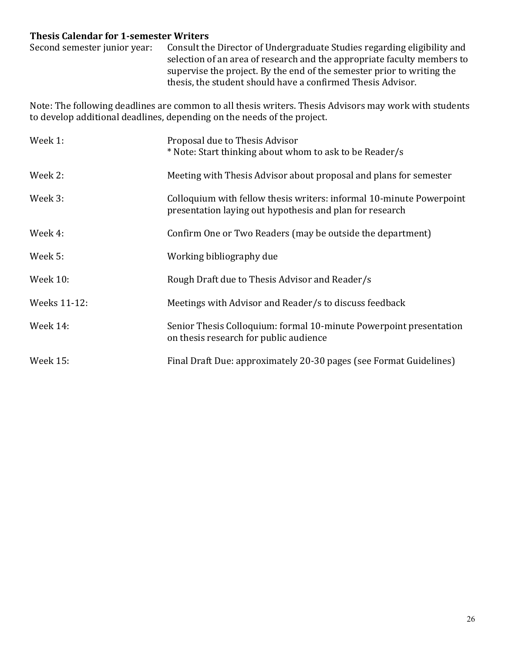# **Thesis Calendar for 1-semester Writers**

Second semester junior year: Consult the Director of Undergraduate Studies regarding eligibility and selection of an area of research and the appropriate faculty members to supervise the project. By the end of the semester prior to writing the thesis, the student should have a confirmed Thesis Advisor.

Note: The following deadlines are common to all thesis writers. Thesis Advisors may work with students to develop additional deadlines, depending on the needs of the project.

| Week 1:         | Proposal due to Thesis Advisor<br>* Note: Start thinking about whom to ask to be Reader/s                                        |
|-----------------|----------------------------------------------------------------------------------------------------------------------------------|
| Week 2:         | Meeting with Thesis Advisor about proposal and plans for semester                                                                |
| Week 3:         | Colloquium with fellow thesis writers: informal 10-minute Powerpoint<br>presentation laying out hypothesis and plan for research |
| Week 4:         | Confirm One or Two Readers (may be outside the department)                                                                       |
| Week 5:         | Working bibliography due                                                                                                         |
| Week 10:        | Rough Draft due to Thesis Advisor and Reader/s                                                                                   |
| Weeks 11-12:    | Meetings with Advisor and Reader/s to discuss feedback                                                                           |
| Week $14$ :     | Senior Thesis Colloquium: formal 10-minute Powerpoint presentation<br>on thesis research for public audience                     |
| <b>Week 15:</b> | Final Draft Due: approximately 20-30 pages (see Format Guidelines)                                                               |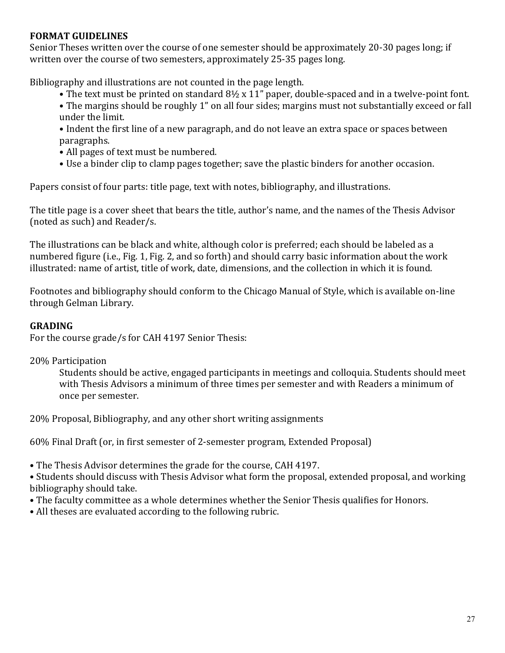#### **FORMAT GUIDELINES**

Senior Theses written over the course of one semester should be approximately 20-30 pages long; if written over the course of two semesters, approximately 25-35 pages long.

Bibliography and illustrations are not counted in the page length.

- The text must be printed on standard 8½ x 11" paper, double-spaced and in a twelve-point font.
- The margins should be roughly 1" on all four sides; margins must not substantially exceed or fall under the limit.
- Indent the first line of a new paragraph, and do not leave an extra space or spaces between paragraphs.
- All pages of text must be numbered.
- Use a binder clip to clamp pages together; save the plastic binders for another occasion.

Papers consist of four parts: title page, text with notes, bibliography, and illustrations.

The title page is a cover sheet that bears the title, author's name, and the names of the Thesis Advisor (noted as such) and Reader/s.

The illustrations can be black and white, although color is preferred; each should be labeled as a numbered figure (i.e., Fig. 1, Fig. 2, and so forth) and should carry basic information about the work illustrated: name of artist, title of work, date, dimensions, and the collection in which it is found.

Footnotes and bibliography should conform to the Chicago Manual of Style, which is available on-line through Gelman Library.

#### **GRADING**

For the course grade/s for CAH 4197 Senior Thesis:

#### 20% Participation

Students should be active, engaged participants in meetings and colloquia. Students should meet with Thesis Advisors a minimum of three times per semester and with Readers a minimum of once per semester.

20% Proposal, Bibliography, and any other short writing assignments

60% Final Draft (or, in first semester of 2-semester program, Extended Proposal)

• The Thesis Advisor determines the grade for the course, CAH 4197.

• Students should discuss with Thesis Advisor what form the proposal, extended proposal, and working bibliography should take.

- The faculty committee as a whole determines whether the Senior Thesis qualifies for Honors.
- All theses are evaluated according to the following rubric.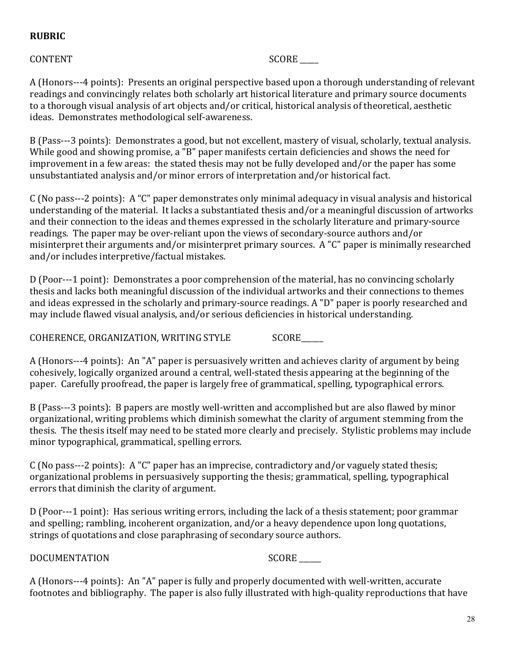# **RUBRIC**

#### CONTENT SCORE

A (Honors---4 points): Presents an original perspective based upon a thorough understanding of relevant readings and convincingly relates both scholarly art historical literature and primary source documents to a thorough visual analysis of art objects and/or critical, historical analysis of theoretical, aesthetic ideas. Demonstrates methodological self-awareness.

B (Pass---3 points): Demonstrates a good, but not excellent, mastery of visual, scholarly, textual analysis. While good and showing promise, a "B" paper manifests certain deficiencies and shows the need for improvement in a few areas: the stated thesis may not be fully developed and/or the paper has some unsubstantiated analysis and/or minor errors of interpretation and/or historical fact.

 $C$  (No pass---2 points): A "C" paper demonstrates only minimal adequacy in visual analysis and historical understanding of the material. It lacks a substantiated thesis and/or a meaningful discussion of artworks and their connection to the ideas and themes expressed in the scholarly literature and primary-source readings. The paper may be over-reliant upon the views of secondary-source authors and/or misinterpret their arguments and/or misinterpret primary sources. A "C" paper is minimally researched and/or includes interpretive/factual mistakes.

D (Poor---1 point): Demonstrates a poor comprehension of the material, has no convincing scholarly thesis and lacks both meaningful discussion of the individual artworks and their connections to themes and ideas expressed in the scholarly and primary-source readings. A "D" paper is poorly researched and may include flawed visual analysis, and/or serious deficiencies in historical understanding.

COHERENCE, ORGANIZATION, WRITING STYLE SCORE

A (Honors---4 points): An "A" paper is persuasively written and achieves clarity of argument by being cohesively, logically organized around a central, well-stated thesis appearing at the beginning of the paper. Carefully proofread, the paper is largely free of grammatical, spelling, typographical errors.

B (Pass---3 points): B papers are mostly well-written and accomplished but are also flawed by minor organizational, writing problems which diminish somewhat the clarity of argument stemming from the thesis. The thesis itself may need to be stated more clearly and precisely. Stylistic problems may include minor typographical, grammatical, spelling errors.

 $C$  (No pass---2 points): A "C" paper has an imprecise, contradictory and/or vaguely stated thesis; organizational problems in persuasively supporting the thesis; grammatical, spelling, typographical errors that diminish the clarity of argument.

D (Poor---1 point): Has serious writing errors, including the lack of a thesis statement; poor grammar and spelling; rambling, incoherent organization, and/or a heavy dependence upon long quotations, strings of quotations and close paraphrasing of secondary source authors.

DOCUMENTATION SCORE

A (Honors---4 points): An "A" paper is fully and properly documented with well-written, accurate footnotes and bibliography. The paper is also fully illustrated with high-quality reproductions that have